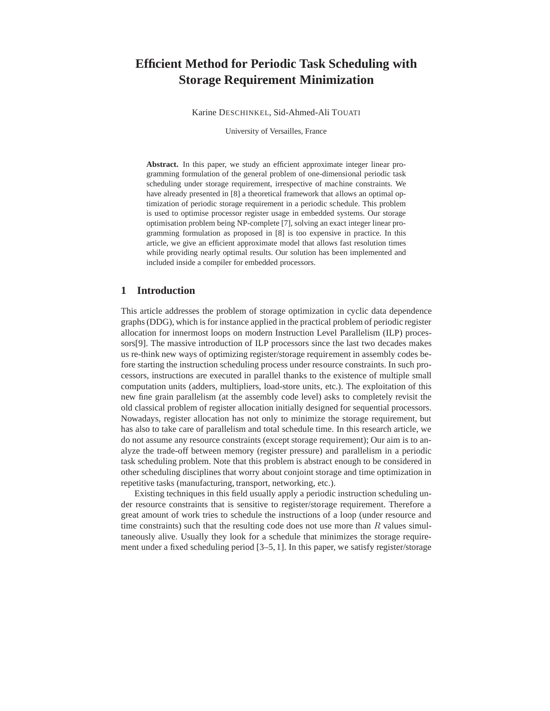# **Efficient Method for Periodic Task Scheduling with Storage Requirement Minimization**

Karine DESCHINKEL, Sid-Ahmed-Ali TOUATI

University of Versailles, France

**Abstract.** In this paper, we study an efficient approximate integer linear programming formulation of the general problem of one-dimensional periodic task scheduling under storage requirement, irrespective of machine constraints. We have already presented in [8] a theoretical framework that allows an optimal optimization of periodic storage requirement in a periodic schedule. This problem is used to optimise processor register usage in embedded systems. Our storage optimisation problem being NP-complete [7], solving an exact integer linear programming formulation as proposed in [8] is too expensive in practice. In this article, we give an efficient approximate model that allows fast resolution times while providing nearly optimal results. Our solution has been implemented and included inside a compiler for embedded processors.

# **1 Introduction**

This article addresses the problem of storage optimization in cyclic data dependence graphs (DDG), which is for instance applied in the practical problem of periodic register allocation for innermost loops on modern Instruction Level Parallelism (ILP) processors[9]. The massive introduction of ILP processors since the last two decades makes us re-think new ways of optimizing register/storage requirement in assembly codes before starting the instruction scheduling process under resource constraints. In such processors, instructions are executed in parallel thanks to the existence of multiple small computation units (adders, multipliers, load-store units, etc.). The exploitation of this new fine grain parallelism (at the assembly code level) asks to completely revisit the old classical problem of register allocation initially designed for sequential processors. Nowadays, register allocation has not only to minimize the storage requirement, but has also to take care of parallelism and total schedule time. In this research article, we do not assume any resource constraints (except storage requirement); Our aim is to analyze the trade-off between memory (register pressure) and parallelism in a periodic task scheduling problem. Note that this problem is abstract enough to be considered in other scheduling disciplines that worry about conjoint storage and time optimization in repetitive tasks (manufacturing, transport, networking, etc.).

Existing techniques in this field usually apply a periodic instruction scheduling under resource constraints that is sensitive to register/storage requirement. Therefore a great amount of work tries to schedule the instructions of a loop (under resource and time constraints) such that the resulting code does not use more than  $R$  values simultaneously alive. Usually they look for a schedule that minimizes the storage requirement under a fixed scheduling period [3–5, 1]. In this paper, we satisfy register/storage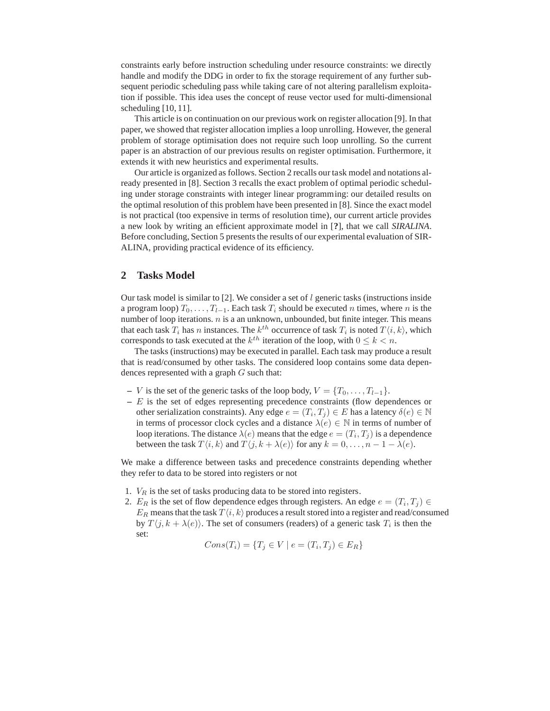constraints early before instruction scheduling under resource constraints: we directly handle and modify the DDG in order to fix the storage requirement of any further subsequent periodic scheduling pass while taking care of not altering parallelism exploitation if possible. This idea uses the concept of reuse vector used for multi-dimensional scheduling  $[10, 11]$ .

This article is on continuation on our previous work on register allocation [9]. In that paper, we showed that register allocation implies a loop unrolling. However, the general problem of storage optimisation does not require such loop unrolling. So the current paper is an abstraction of our previous results on register optimisation. Furthermore, it extends it with new heuristics and experimental results.

Our article is organized as follows. Section 2 recalls our task model and notations already presented in [8]. Section 3 recalls the exact problem of optimal periodic scheduling under storage constraints with integer linear programming: our detailed results on the optimal resolution of this problem have been presented in [8]. Since the exact model is not practical (too expensive in terms of resolution time), our current article provides a new look by writing an efficient approximate model in [**?**], that we call *SIRALINA*. Before concluding, Section 5 presents the results of our experimental evaluation of SIR-ALINA, providing practical evidence of its efficiency.

## **2 Tasks Model**

Our task model is similar to [2]. We consider a set of  $l$  generic tasks (instructions inside a program loop)  $T_0, \ldots, T_{l-1}$ . Each task  $T_i$  should be executed n times, where n is the number of loop iterations.  $n$  is a an unknown, unbounded, but finite integer. This means that each task  $T_i$  has n instances. The  $k^{th}$  occurrence of task  $T_i$  is noted  $T\langle i, k \rangle$ , which corresponds to task executed at the  $k^{th}$  iteration of the loop, with  $0 \leq k < n$ .

The tasks (instructions) may be executed in parallel. Each task may produce a result that is read/consumed by other tasks. The considered loop contains some data dependences represented with a graph  $G$  such that:

- $-$  V is the set of the generic tasks of the loop body,  $V = \{T_0, \ldots, T_{l-1}\}.$
- **–** E is the set of edges representing precedence constraints (flow dependences or other serialization constraints). Any edge  $e = (T_i, T_j) \in E$  has a latency  $\delta(e) \in \mathbb{N}$ in terms of processor clock cycles and a distance  $\lambda(e) \in \mathbb{N}$  in terms of number of loop iterations. The distance  $\lambda(e)$  means that the edge  $e = (T_i, T_j)$  is a dependence between the task  $T\langle i, k \rangle$  and  $T\langle j, k + \lambda(e) \rangle$  for any  $k = 0, \ldots, n - 1 - \lambda(e)$ .

We make a difference between tasks and precedence constraints depending whether they refer to data to be stored into registers or not

- 1.  $V_R$  is the set of tasks producing data to be stored into registers.
- 2.  $E_R$  is the set of flow dependence edges through registers. An edge  $e = (T_i, T_j) \in$  $E_R$  means that the task  $T(i, k)$  produces a result stored into a register and read/consumed by  $T\langle j, k + \lambda(e) \rangle$ . The set of consumers (readers) of a generic task  $T_i$  is then the set:

$$
Cons(T_i) = \{T_j \in V \mid e = (T_i, T_j) \in E_R\}
$$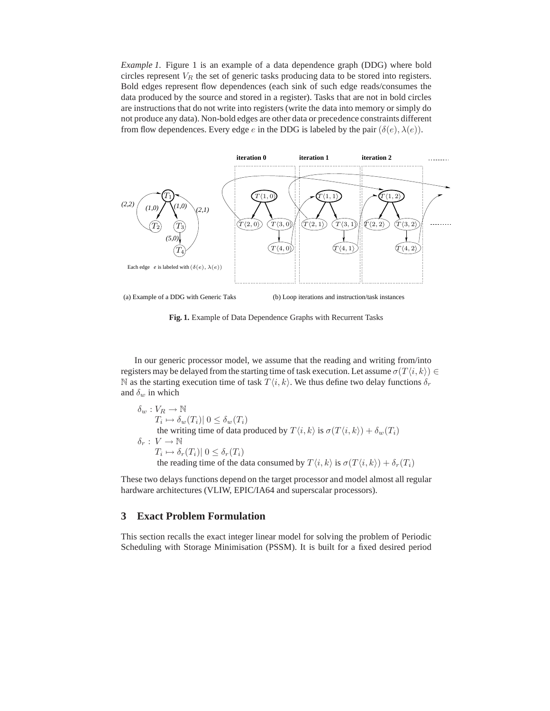*Example 1.* Figure 1 is an example of a data dependence graph (DDG) where bold circles represent  $V_R$  the set of generic tasks producing data to be stored into registers. Bold edges represent flow dependences (each sink of such edge reads/consumes the data produced by the source and stored in a register). Tasks that are not in bold circles are instructions that do not write into registers (write the data into memory or simply do not produce any data). Non-bold edges are other data or precedence constraints different from flow dependences. Every edge e in the DDG is labeled by the pair  $(\delta(e), \lambda(e))$ .



**Fig. 1.** Example of Data Dependence Graphs with Recurrent Tasks

In our generic processor model, we assume that the reading and writing from/into registers may be delayed from the starting time of task execution. Let assume  $\sigma(T\langle i, k \rangle) \in$ N as the starting execution time of task  $T(i, k)$ . We thus define two delay functions  $\delta_r$ and  $\delta_w$  in which

 $\delta_w: V_R \to \mathbb{N}$  $T_i \mapsto \delta_w(T_i) | 0 \leq \delta_w(T_i)$ the writing time of data produced by  $T(i, k)$  is  $\sigma(T(i, k)) + \delta_w(T_i)$  $\delta_r: V \to \mathbb{N}$  $T_i \mapsto \delta_r(T_i) \mid 0 \leq \delta_r(T_i)$ the reading time of the data consumed by  $T\langle i, k \rangle$  is  $\sigma(T\langle i, k \rangle) + \delta_r(T_i)$ 

These two delays functions depend on the target processor and model almost all regular hardware architectures (VLIW, EPIC/IA64 and superscalar processors).

## **3 Exact Problem Formulation**

This section recalls the exact integer linear model for solving the problem of Periodic Scheduling with Storage Minimisation (PSSM). It is built for a fixed desired period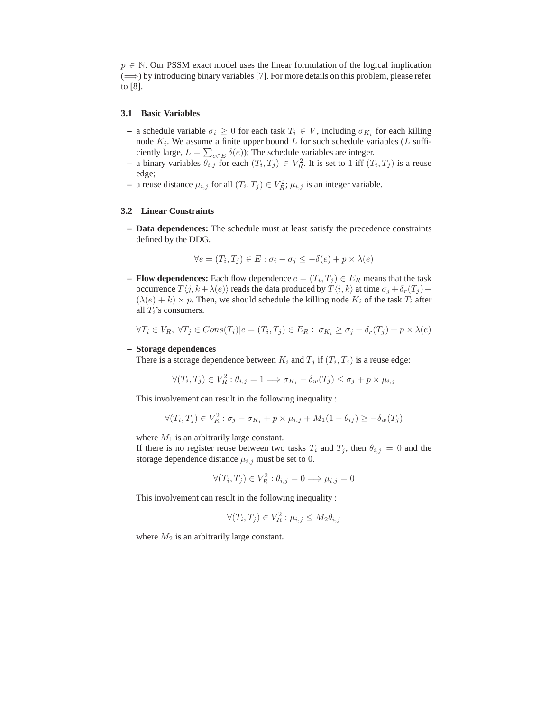$p \in \mathbb{N}$ . Our PSSM exact model uses the linear formulation of the logical implication (⇒) by introducing binary variables [7]. For more details on this problem, please refer to [8].

## **3.1 Basic Variables**

- **–** a schedule variable  $\sigma_i \geq 0$  for each task  $T_i \in V$ , including  $\sigma_{K_i}$  for each killing node  $K_i$ . We assume a finite upper bound L for such schedule variables (L sufficiently large,  $L = \sum_{e \in E} \delta(e)$ ; The schedule variables are integer.
- **–** a binary variables  $\theta_{i,j}$  for each  $(T_i, T_j) \in V_R^2$ . It is set to 1 iff  $(T_i, T_j)$  is a reuse edge;
- **–** a reuse distance  $\mu_{i,j}$  for all  $(T_i, T_j) \in V_R^2$ ;  $\mu_{i,j}$  is an integer variable.

## **3.2 Linear Constraints**

**– Data dependences:** The schedule must at least satisfy the precedence constraints defined by the DDG.

$$
\forall e = (T_i, T_j) \in E : \sigma_i - \sigma_j \leq -\delta(e) + p \times \lambda(e)
$$

**– Flow dependences:** Each flow dependence  $e = (T_i, T_j) \in E_R$  means that the task occurrence  $T\langle j, k+\lambda(e) \rangle$  reads the data produced by  $T\langle i, k \rangle$  at time  $\sigma_j + \delta_r(T_j) +$  $(\lambda(e) + k) \times p$ . Then, we should schedule the killing node  $K_i$  of the task  $T_i$  after all  $T_i$ 's consumers.

$$
\forall T_i \in V_R, \ \forall T_j \in Cons(T_i)|e = (T_i, T_j) \in E_R: \ \sigma_{K_i} \ge \sigma_j + \delta_r(T_j) + p \times \lambda(e)
$$

#### **– Storage dependences**

There is a storage dependence between  $K_i$  and  $T_j$  if  $(T_i, T_j)$  is a reuse edge:

$$
\forall (T_i, T_j) \in V_R^2 : \theta_{i,j} = 1 \Longrightarrow \sigma_{K_i} - \delta_w(T_j) \le \sigma_j + p \times \mu_{i,j}
$$

This involvement can result in the following inequality :

$$
\forall (T_i, T_j) \in V_R^2 : \sigma_j - \sigma_{K_i} + p \times \mu_{i,j} + M_1(1 - \theta_{ij}) \ge -\delta_w(T_j)
$$

where  $M_1$  is an arbitrarily large constant.

If there is no register reuse between two tasks  $T_i$  and  $T_j$ , then  $\theta_{i,j} = 0$  and the storage dependence distance  $\mu_{i,j}$  must be set to 0.

$$
\forall (T_i, T_j) \in V_R^2 : \theta_{i,j} = 0 \Longrightarrow \mu_{i,j} = 0
$$

This involvement can result in the following inequality :

$$
\forall (T_i, T_j) \in V_R^2 : \mu_{i,j} \le M_2 \theta_{i,j}
$$

where  $M_2$  is an arbitrarily large constant.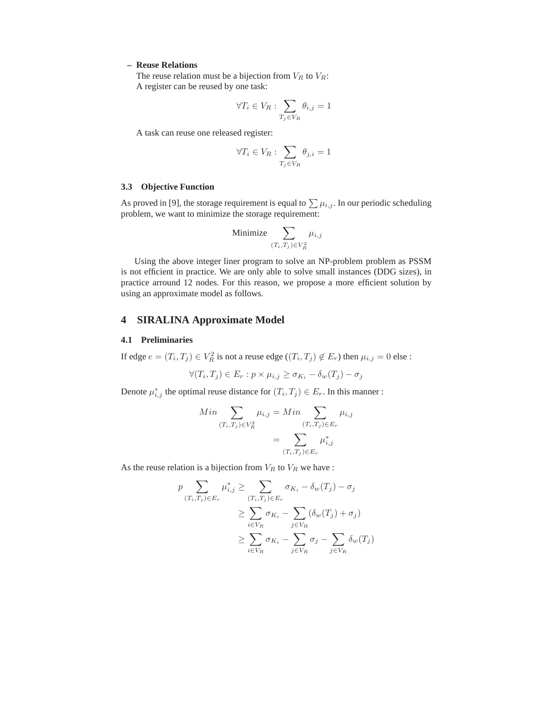## **– Reuse Relations**

The reuse relation must be a bijection from  $V_R$  to  $V_R$ : A register can be reused by one task:

$$
\forall T_i \in V_R: \sum_{T_j \in V_R} \theta_{i,j} = 1
$$

A task can reuse one released register:

$$
\forall T_i \in V_R : \sum_{T_j \in V_R} \theta_{j,i} = 1
$$

## **3.3 Objective Function**

As proved in [9], the storage requirement is equal to  $\sum \mu_{i,j}$ . In our periodic scheduling problem, we want to minimize the storage requirement:

Minimize 
$$
\sum_{(T_i, T_j) \in V_R^2} \mu_{i,j}
$$

Using the above integer liner program to solve an NP-problem problem as PSSM is not efficient in practice. We are only able to solve small instances (DDG sizes), in practice arround 12 nodes. For this reason, we propose a more efficient solution by using an approximate model as follows.

## **4 SIRALINA Approximate Model**

## **4.1 Preliminaries**

If edge  $e = (T_i, T_j) \in V_R^2$  is not a reuse edge  $((T_i, T_j) \notin E_r)$  then  $\mu_{i,j} = 0$  else :

$$
\forall (T_i, T_j) \in E_r : p \times \mu_{i,j} \ge \sigma_{K_i} - \delta_w(T_j) - \sigma_j
$$

Denote  $\mu^*_{i,j}$  the optimal reuse distance for  $(T_i, T_j) \in E_r$ . In this manner :

$$
Min \sum_{(T_i, T_j) \in V_R^2} \mu_{i,j} = Min \sum_{(T_i, T_j) \in E_r} \mu_{i,j}
$$

$$
= \sum_{(T_i, T_j) \in E_r} \mu_{i,j}^*
$$

As the reuse relation is a bijection from  $V_R$  to  $V_R$  we have :

$$
p \sum_{(T_i, T_j) \in E_r} \mu_{i,j}^* \ge \sum_{(T_i, T_j) \in E_r} \sigma_{K_i} - \delta_w(T_j) - \sigma_j
$$
  

$$
\ge \sum_{i \in V_R} \sigma_{K_i} - \sum_{j \in V_R} (\delta_w(T_j) + \sigma_j)
$$
  

$$
\ge \sum_{i \in V_R} \sigma_{K_i} - \sum_{j \in V_R} \sigma_j - \sum_{j \in V_R} \delta_w(T_j)
$$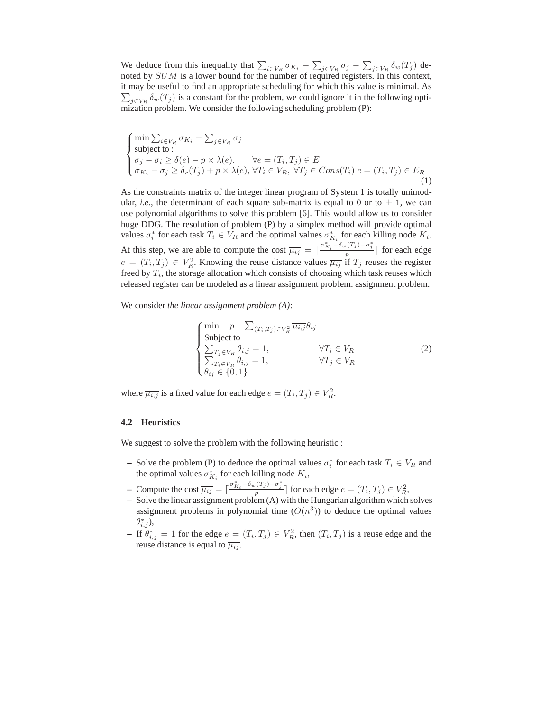We deduce from this inequality that  $\sum_{i\in V_R} \sigma_{K_i} - \sum_{j\in V_R} \sigma_j - \sum_{j\in V_R} \delta_w(T_j)$  denoted by  $SUM$  is a lower bound for the number of required registers. In this context, it may be useful to find an appropriate scheduling for which th is value is minimal. As  $\sum_{j \in V_R} \delta_w(T_j)$  is a constant for the problem, we could ignore it in the following optimization problem. We consider the following scheduling problem (P):

$$
\begin{cases}\n\min \sum_{i \in V_R} \sigma_{K_i} - \sum_{j \in V_R} \sigma_j \\
\text{subject to:} \\
\sigma_j - \sigma_i \ge \delta(e) - p \times \lambda(e), \qquad \forall e = (T_i, T_j) \in E \\
\sigma_{K_i} - \sigma_j \ge \delta_r(T_j) + p \times \lambda(e), \forall T_i \in V_R, \ \forall T_j \in Cons(T_i)|e = (T_i, T_j) \in E_R \\
\end{cases}
$$
\n(1)

As the constraints matrix of the integer linear program of System 1 is totally unimodular, *i.e.*, the determinant of each square sub-matrix is equal to 0 or to  $\pm$  1, we can use polynomial algorithms to solve this problem [6]. This would allow us to consider huge DDG. The resolution of problem (P) by a simplex method will provide optimal values  $\sigma_i^*$  for each task  $T_i \in V_R$  and the optimal values  $\sigma_{K_i}^*$  for each killing node  $K_i$ . At this step, we are able to compute the cost  $\overline{\mu_{ij}} = \lceil \frac{\sigma_{K_i}^{*-} - \delta_w(T_j) - \sigma_j^{*}}{p} \rceil$  for each edge  $e = (T_i, T_j) \in V_R^2$ . Knowing the reuse distance values  $\overline{\mu_{ij}}$  if  $T_j$  reuses the register freed by  $T_i$ , the storage allocation which consists of choosing which task reuses which released register can be modeled as a linear assignment problem. assignment problem.

We consider *the linear assignment problem (A)*:

$$
\begin{cases}\n\min \quad p \quad \sum_{(T_i, T_j) \in V_R^2} \overline{\mu_{i,j}} \theta_{ij} \\
\text{Subject to} \\
\sum_{T_j \in V_R} \theta_{i,j} = 1, & \forall T_i \in V_R \\
\sum_{T_i \in V_R} \theta_{i,j} = 1, & \forall T_j \in V_R \\
\theta_{ij} \in \{0, 1\}\n\end{cases} \tag{2}
$$

where  $\overline{\mu_{i,j}}$  is a fixed value for each edge  $e = (T_i, T_j) \in V_R^2$ .

#### **4.2 Heuristics**

We suggest to solve the problem with the following heuristic :

- **–** Solve the problem (P) to deduce the optimal values  $\sigma_i^*$  for each task  $T_i \in V_R$  and the optimal values  $\sigma_{K_i}^*$  for each killing node  $K_i$ ,
- **−** Compute the cost  $\overline{\mu_{ij}} = \lceil \frac{\sigma_{K_i}^* \delta_w(T_j) \sigma_j^*}{p} \rceil$  for each edge  $e = (T_i, T_j) \in V_R^2$ ,
- **–** Solve the linear assignment problem (A) with the Hungarian algorithm which solves assignment problems in polynomial time  $(O(n^3))$  to deduce the optimal values  $\theta^*_{i,j}$ ),
- $-$  If  $\theta^*_{i,j} = 1$  for the edge  $e = (T_i, T_j) \in V_R^2$ , then  $(T_i, T_j)$  is a reuse edge and the reuse distance is equal to  $\overline{\mu_{ij}}$ .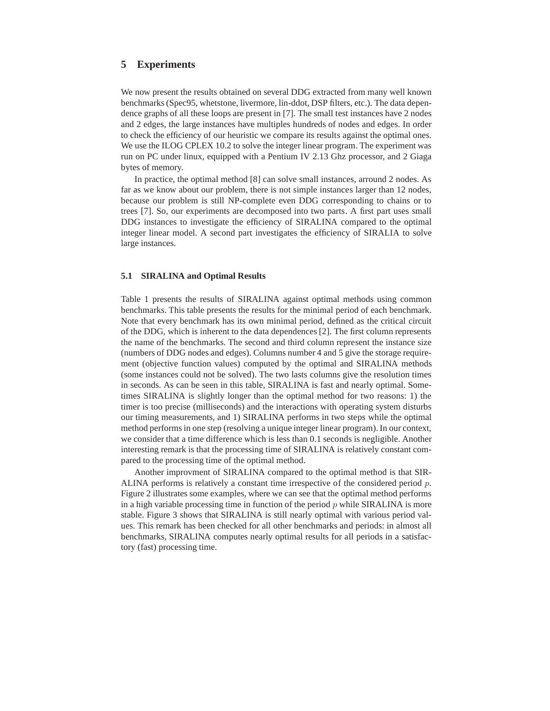## **5 Experiments**

We now present the results obtained on several DDG extracted from many well known benchmarks (Spec95, whetstone, livermore, lin-ddot, DSP filters, etc.). The data dependence graphs of all these loops are present in [7]. The small test instances have 2 nodes and 2 edges, the large instances have multiples hundreds of nodes and edges. In order to check the efficiency of our heuristic we compare its results against the optimal ones. We use the ILOG CPLEX 10.2 to solve the integer linear program. The experiment was run on PC under linux, equipped with a Pentium IV 2.13 Ghz processor, and 2 Giaga bytes of memory.

In practice, the optimal method [8] can solve small instances, arround 2 nodes. As far as we know about our problem, there is not simple instances larger than 12 nodes, because our problem is still NP-complete even DDG corresponding to chains or to trees [7]. So, our experiments are decomposed into two parts. A first part uses small DDG instances to investigate the efficiency of SIRALINA compared to the optimal integer linear model. A second part investigates the efficiency of SIRALIA to solve large instances.

#### **5.1 SIRALINA and Optimal Results**

Table 1 presents the results of SIRALINA against optimal methods using common benchmarks. This table presents the results for the minimal period of each benchmark. Note that every benchmark has its own minimal period, defined as the critical circuit of the DDG, which is inherent to the data dependences [2]. The first column represents the name of the benchmarks. The second and third column represent the instance size (numbers of DDG nodes and edges). Columns number 4 and 5 give the storage requirement (objective function values) computed by the optimal and SIRALINA methods (some instances could not be solved). The two lasts columns give the resolution times in seconds. As can be seen in this table, SIRALINA is fast and nearly optimal. Sometimes SIRALINA is slightly longer than the optimal method for two reasons: 1) the timer is too precise (milliseconds) and the interactions with operating system disturbs our timing measurements, and 1) SIRALINA performs in two steps while the optimal method performs in one step (resolving a unique integer linear program). In our context, we consider that a time difference which is less than 0.1 seconds is negligible. Another interesting remark is that the processing time of SIRALINA is relatively constant compared to the processing time of the optimal method.

Another improvment of SIRALINA compared to the optimal method is that SIR-ALINA performs is relatively a constant time irrespective of the considered period  $p$ . Figure 2 illustrates some examples, where we can see that the optimal method performs in a high variable processing time in function of the period  $p$  while SIRALINA is more stable. Figure 3 shows that SIRALINA is still nearly optimal with various period values. This remark has been checked for all other benchmarks and periods: in almost all benchmarks, SIRALINA computes nearly optimal results for all periods in a satisfactory (fast) processing time.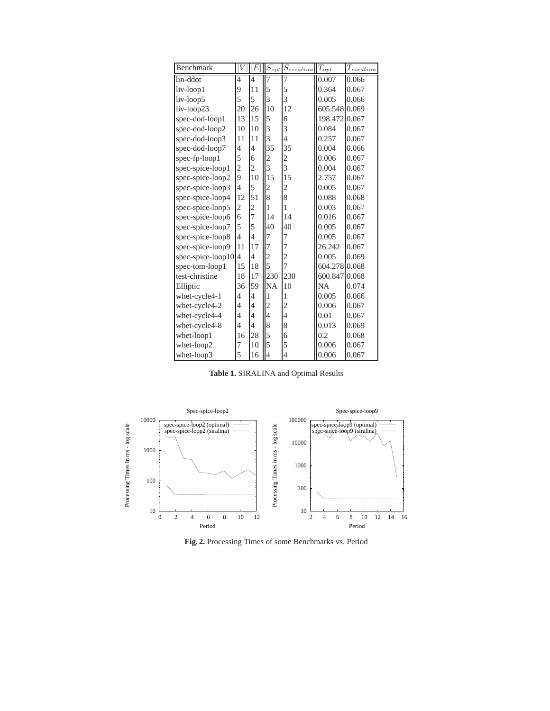| Benchmark         | IV                       | E              | $\overline{S}_{opt}$ | $\overline{S}_{siralina}$ | $T_{opt}$     | $T_{\small viraling}$ |
|-------------------|--------------------------|----------------|----------------------|---------------------------|---------------|-----------------------|
| lin-ddot          | 4                        | 4              | 7                    | 7                         | 0.007         | 0.066                 |
| liv-loop1         | 9                        | 11             | 5                    | 5                         | 0.364         | 0.067                 |
| liv-loop5         | 5                        | 5              | 3                    | 3                         | 0.005         | 0.066                 |
| liv-loop23        | 20                       | 26             | 10                   | 12                        | 605.548 0.069 |                       |
| spec-dod-loop1    | 13                       | 15             | 5                    | 6                         | 198.472       | 0.067                 |
| spec-dod-loop2    | 10                       | 10             | 3                    | 3                         | 0.084         | 0.067                 |
| spec-dod-loop3    | 11                       | 11             | 3                    | $\overline{\mathcal{A}}$  | 0.257         | 0.067                 |
| spec-dod-loop7    | 4                        | 4              | 35                   | 35                        | 0.004         | 0.066                 |
| spec-fp-loop1     | 5                        | 6              | 2<br>3               | 2                         | 0.006         | 0.067                 |
| spec-spice-loop1  | $\overline{c}$           | $\overline{c}$ |                      | $\overline{3}$            | 0.004         | 0.067                 |
| spec-spice-loop2  | $\overline{9}$           | 10             | 15                   | 15                        | 2.757         | 0.067                 |
| spec-spice-loop3  | $\overline{\mathcal{A}}$ | 5              | $\overline{c}$       | 2                         | 0.005         | 0.067                 |
| spec-spice-loop4  | 12                       | 51             | 8                    | 8                         | 0.088         | 0.068                 |
| spec-spice-loop5  | 2                        | $\overline{c}$ | 1                    | 1                         | 0.003         | 0.067                 |
| spec-spice-loop6  | 6                        | $\overline{7}$ | 14                   | 14                        | 0.016         | 0.067                 |
| spec-spice-loop7  | 5                        | 5              | 40                   | 40                        | 0.005         | 0.067                 |
| spec-spice-loop8  | $\overline{4}$           | $\overline{4}$ | 7                    | 7                         | 0.005         | 0.067                 |
| spec-spice-loop9  | 11                       | 17             | 7                    | 7                         | 26.242        | 0.067                 |
| spec-spice-loop10 | $\overline{4}$           | 4              | 2<br>5               | 2                         | 0.005         | 0.069                 |
| spec-tom-loop1    | 15                       | 18             |                      | 7                         | 604.278       | 0.068                 |
| test-christine    | 18                       | 17             | 230                  | 230                       | 600.847       | 0.068                 |
| Elliptic          | 36                       | 59             | <b>NA</b>            | 10                        | NA            | 0.074                 |
| whet-cycle4-1     | 4                        | 4              | 1                    | 1                         | 0.005         | 0.066                 |
| whet-cycle4-2     | 4                        | 4              | $\overline{c}$       | 2                         | 0.006         | 0.067                 |
| whet-cycle4-4     | 4                        | 4              | $\overline{4}$       | $\overline{4}$            | 0.01          | 0.067                 |
| whet-cycle4-8     | $\overline{4}$           | 4              | 8                    | 8                         | 0.013         | 0.069                 |
| whet-loop1        | 16                       | 28             | 5                    | 6                         | 0.2           | 0.068                 |
| whet-loop2        | 7                        | 10             | 5                    | 5                         | 0.006         | 0.067                 |
| whet-loop3        | 5                        | 16             | $\overline{4}$       | $\overline{4}$            | 0.006         | 0.067                 |

**Table 1.** SIRALINA and Optimal Results



**Fig. 2.** Processing Times of some Benchmarks vs. Period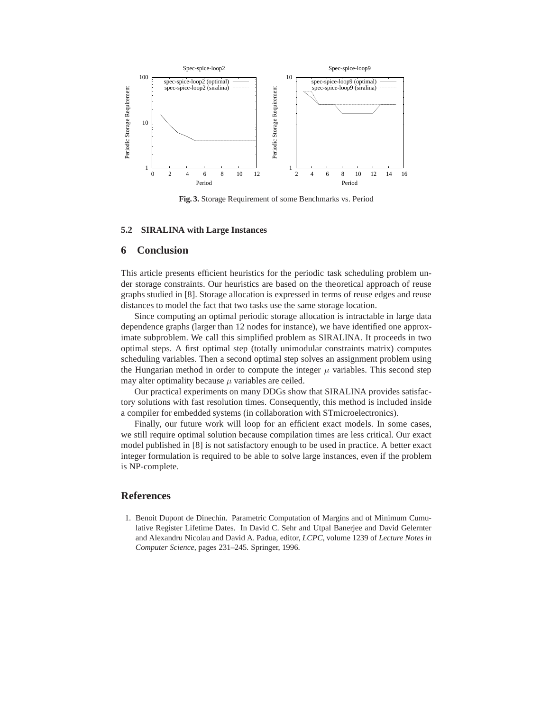

**Fig. 3.** Storage Requirement of some Benchmarks vs. Period

#### **5.2 SIRALINA with Large Instances**

#### **6 Conclusion**

This article presents efficient heuristics for the periodic task scheduling problem under storage constraints. Our heuristics are based on the theoretical approach of reuse graphs studied in [8]. Storage allocation is expressed in terms of reuse edges and reuse distances to model the fact that two tasks use the same storage location.

Since computing an optimal periodic storage allocation is intractable in large data dependence graphs (larger than 12 nodes for instance), we have identified one approximate subproblem. We call this simplified problem as SIRALINA. It proceeds in two optimal steps. A first optimal step (totally unimodular constraints matrix) computes scheduling variables. Then a second optimal step solves an assignment problem using the Hungarian method in order to compute the integer  $\mu$  variables. This second step may alter optimality because  $\mu$  variables are ceiled.

Our practical experiments on many DDGs show that SIRALINA provides satisfactory solutions with fast resolution times. Consequently, this method is included inside a compiler for embedded systems (in collaboration with STmicroelectronics).

Finally, our future work will loop for an efficient exact models. In some cases, we still require optimal solution because compilation times are less critical. Our exact model published in [8] is not satisfactory enough to be used in practice. A better exact integer formulation is required to be able to solve large instances, even if the problem is NP-complete.

## **References**

1. Benoit Dupont de Dinechin. Parametric Computation of Margins and of Minimum Cumulative Register Lifetime Dates. In David C. Sehr and Utpal Banerjee and David Gelernter and Alexandru Nicolau and David A. Padua, editor, *LCPC*, volume 1239 of *Lecture Notes in Computer Science*, pages 231–245. Springer, 1996.